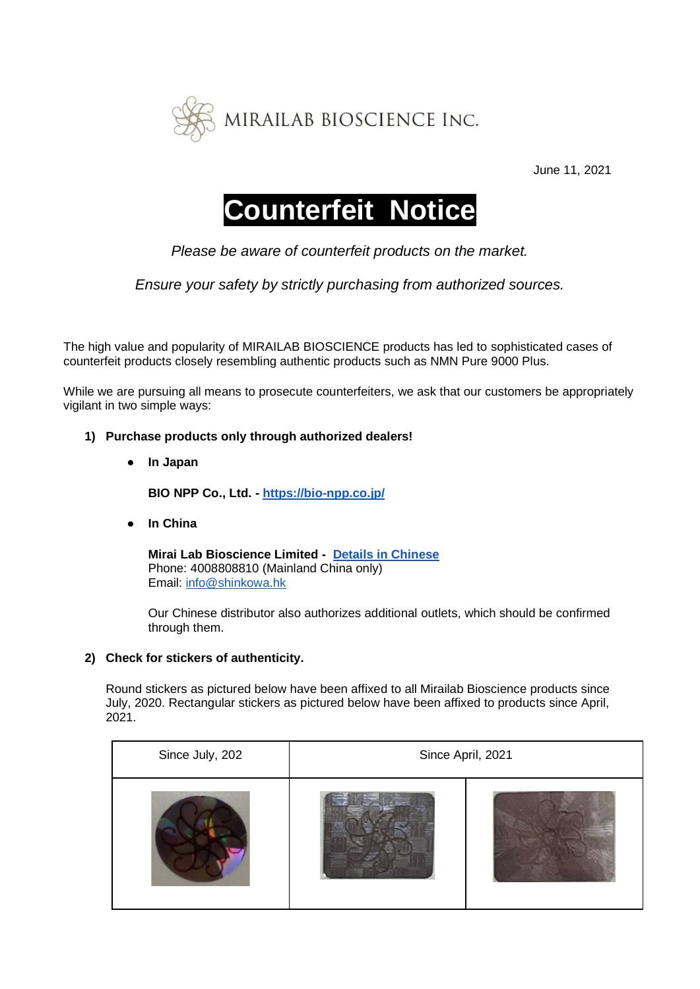

June 11, 2021

## **Counterfeit Notice**

*Please be aware of counterfeit products on the market.*

*Ensure your safety by strictly purchasing from authorized sources.*

The high value and popularity of MIRAILAB BIOSCIENCE products has led to sophisticated cases of counterfeit products closely resembling authentic products such as NMN Pure 9000 Plus.

While we are pursuing all means to prosecute counterfeiters, we ask that our customers be appropriately vigilant in two simple ways:

## **1) Purchase products only through authorized dealers!**

● **In Japan**

**BIO NPP Co., Ltd. - <https://bio-npp.co.jp/>**

● **In China**

**Mirai Lab Bioscience Limited - [Details in Chinese](http://mirailab.com/index/news/info/id/21.html)** Phone: 4008808810 (Mainland China only) Email: [info@shinkowa.hk](mailto:info@shinkowa.hk)

Our Chinese distributor also authorizes additional outlets, which should be confirmed through them.

## **2) Check for stickers of authenticity.**

Round stickers as pictured below have been affixed to all Mirailab Bioscience products since July, 2020. Rectangular stickers as pictured below have been affixed to products since April, 2021.

| Since July, 202 | Since April, 2021 |  |
|-----------------|-------------------|--|
|                 |                   |  |